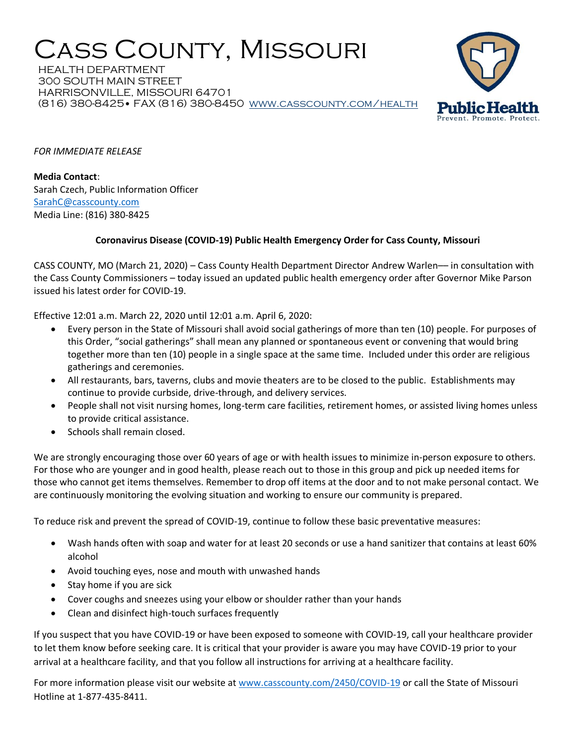## Cass County, Missouri

HEALTH DEPARTMENT 300 SOUTH MAIN STREET HARRISONVILLE, MISSOURI 64701 (816) 380-8425• FAX (816) 380-8450 [www.casscounty.com/health](http://www.casscounty.com/health) 



*FOR IMMEDIATE RELEASE*

**Media Contact**: Sarah Czech, Public Information Officer [SarahC@casscounty.com](mailto:SarahC@casscounty.com)  Media Line: (816) 380-8425

## **Coronavirus Disease (COVID-19) Public Health Emergency Order for Cass County, Missouri**

CASS COUNTY, MO (March 21, 2020) – Cass County Health Department Director Andrew Warlen–– in consultation with the Cass County Commissioners – today issued an updated public health emergency order after Governor Mike Parson issued his latest order for COVID-19.

Effective 12:01 a.m. March 22, 2020 until 12:01 a.m. April 6, 2020:

- Every person in the State of Missouri shall avoid social gatherings of more than ten (10) people. For purposes of this Order, "social gatherings" shall mean any planned or spontaneous event or convening that would bring together more than ten (10) people in a single space at the same time. Included under this order are religious gatherings and ceremonies.
- All restaurants, bars, taverns, clubs and movie theaters are to be closed to the public. Establishments may continue to provide curbside, drive-through, and delivery services.
- People shall not visit nursing homes, long-term care facilities, retirement homes, or assisted living homes unless to provide critical assistance.
- Schools shall remain closed.

We are strongly encouraging those over 60 years of age or with health issues to minimize in-person exposure to others. For those who are younger and in good health, please reach out to those in this group and pick up needed items for those who cannot get items themselves. Remember to drop off items at the door and to not make personal contact. We are continuously monitoring the evolving situation and working to ensure our community is prepared.

To reduce risk and prevent the spread of COVID-19, continue to follow these basic preventative measures:

- Wash hands often with soap and water for at least 20 seconds or use a hand sanitizer that contains at least 60% alcohol
- Avoid touching eyes, nose and mouth with unwashed hands
- Stay home if you are sick
- Cover coughs and sneezes using your elbow or shoulder rather than your hands
- Clean and disinfect high-touch surfaces frequently

If you suspect that you have COVID-19 or have been exposed to someone with COVID-19, call your healthcare provider to let them know before seeking care. It is critical that your provider is aware you may have COVID-19 prior to your arrival at a healthcare facility, and that you follow all instructions for arriving at a healthcare facility.

For more information please visit our website at [www.casscounty.com/2450/COVID-19](http://www.casscounty.com/2450/COVID-19) or call the State of Missouri Hotline at 1-877-435-8411.